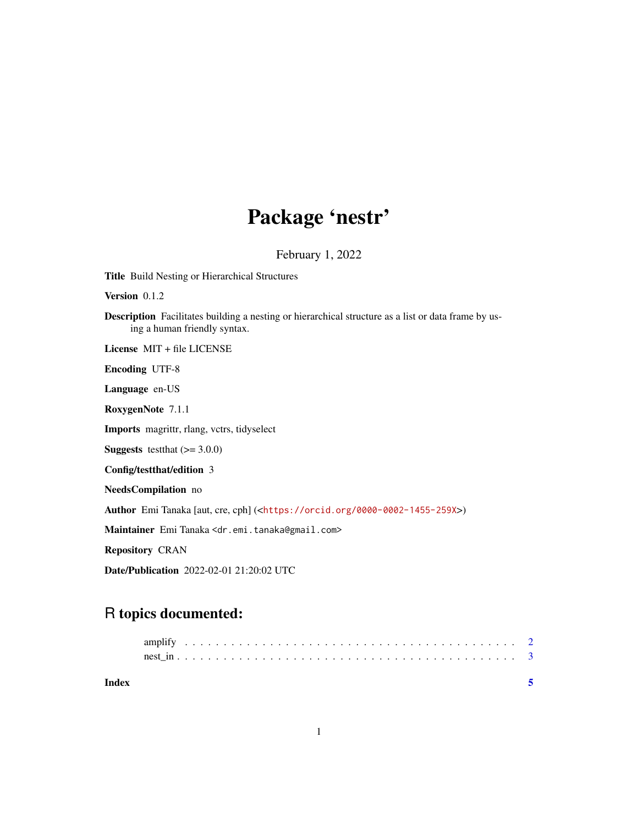## Package 'nestr'

February 1, 2022

Title Build Nesting or Hierarchical Structures Version 0.1.2 Description Facilitates building a nesting or hierarchical structure as a list or data frame by using a human friendly syntax. License MIT + file LICENSE Encoding UTF-8 Language en-US RoxygenNote 7.1.1 Imports magrittr, rlang, vctrs, tidyselect **Suggests** testthat  $(>= 3.0.0)$ Config/testthat/edition 3 NeedsCompilation no Author Emi Tanaka [aut, cre, cph] (<<https://orcid.org/0000-0002-1455-259X>>) Maintainer Emi Tanaka <dr.emi.tanaka@gmail.com> Repository CRAN Date/Publication 2022-02-01 21:20:02 UTC

### R topics documented:

| Index |  |  |  |  |  |  |  |  |  |  |  |  |  |  |  |  |  |  |  |  |  |
|-------|--|--|--|--|--|--|--|--|--|--|--|--|--|--|--|--|--|--|--|--|--|
|       |  |  |  |  |  |  |  |  |  |  |  |  |  |  |  |  |  |  |  |  |  |
|       |  |  |  |  |  |  |  |  |  |  |  |  |  |  |  |  |  |  |  |  |  |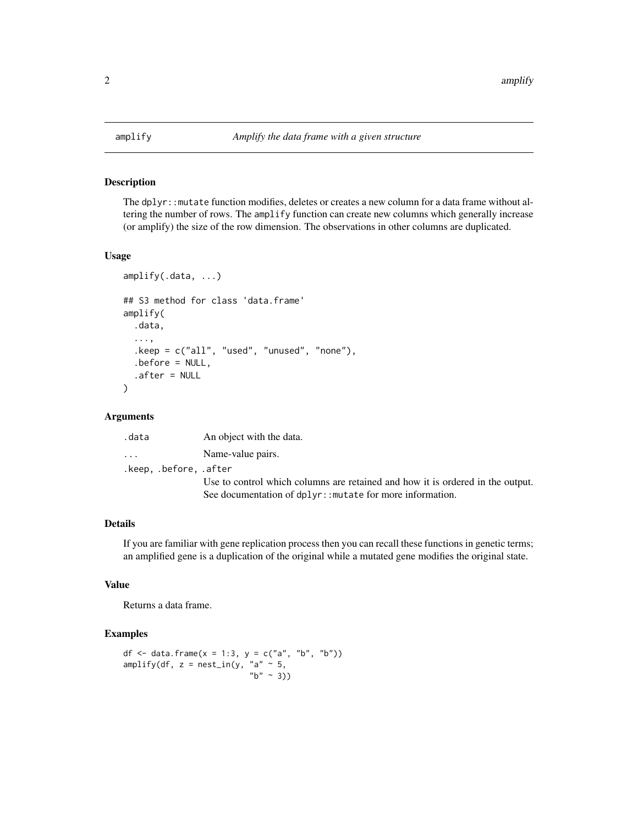<span id="page-1-0"></span>

#### Description

The dplyr::mutate function modifies, deletes or creates a new column for a data frame without altering the number of rows. The amplify function can create new columns which generally increase (or amplify) the size of the row dimension. The observations in other columns are duplicated.

#### Usage

```
amplify(.data, ...)
## S3 method for class 'data.frame'
amplify(
  .data,
  ...,
  .keep = c("all", "used", "unused", "none"),
  .before = NULL,
  .after = NULL
)
```
#### Arguments

| .data                   | An object with the data.                                                       |
|-------------------------|--------------------------------------------------------------------------------|
| $\cdot$ $\cdot$ $\cdot$ | Name-value pairs.                                                              |
| .keep. .before. .after  |                                                                                |
|                         | Use to control which columns are retained and how it is ordered in the output. |
|                         | See documentation of dplyr:: mutate for more information.                      |

#### Details

If you are familiar with gene replication process then you can recall these functions in genetic terms; an amplified gene is a duplication of the original while a mutated gene modifies the original state.

#### Value

Returns a data frame.

#### Examples

```
df <- data.frame(x = 1:3, y = c("a", "b", "b"))
amplify(df, z = nest_in(y, "a" ~ 5,"b" ~ ~ ~ 3))
```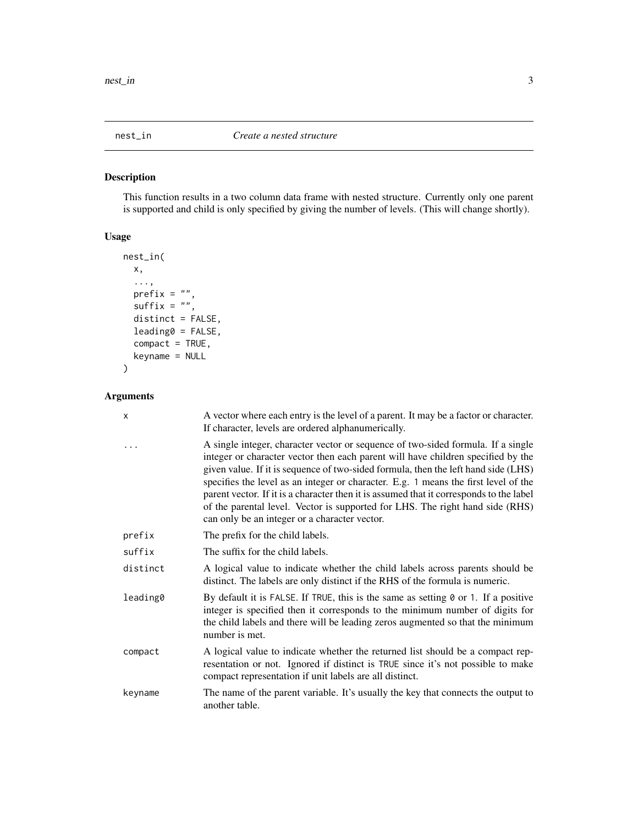<span id="page-2-0"></span>

#### Description

This function results in a two column data frame with nested structure. Currently only one parent is supported and child is only specified by giving the number of levels. (This will change shortly).

#### Usage

```
nest_in(
  x,
   ...,
  \text{prefix} = \text{""\text{''},\text{suffix} = \sqrt{\frac{m}{n}}distinct = FALSE,
  leading0 = FALSE,
  compact = TRUE,keyname = NULL
)
```
#### Arguments

| $\times$ | A vector where each entry is the level of a parent. It may be a factor or character.<br>If character, levels are ordered alphanumerically.                                                                                                                                                                                                                                                                                                                                                                                                                                     |
|----------|--------------------------------------------------------------------------------------------------------------------------------------------------------------------------------------------------------------------------------------------------------------------------------------------------------------------------------------------------------------------------------------------------------------------------------------------------------------------------------------------------------------------------------------------------------------------------------|
|          | A single integer, character vector or sequence of two-sided formula. If a single<br>integer or character vector then each parent will have children specified by the<br>given value. If it is sequence of two-sided formula, then the left hand side (LHS)<br>specifies the level as an integer or character. E.g. 1 means the first level of the<br>parent vector. If it is a character then it is assumed that it corresponds to the label<br>of the parental level. Vector is supported for LHS. The right hand side (RHS)<br>can only be an integer or a character vector. |
| prefix   | The prefix for the child labels.                                                                                                                                                                                                                                                                                                                                                                                                                                                                                                                                               |
| suffix   | The suffix for the child labels.                                                                                                                                                                                                                                                                                                                                                                                                                                                                                                                                               |
| distinct | A logical value to indicate whether the child labels across parents should be<br>distinct. The labels are only distinct if the RHS of the formula is numeric.                                                                                                                                                                                                                                                                                                                                                                                                                  |
| leading0 | By default it is FALSE. If TRUE, this is the same as setting 0 or 1. If a positive<br>integer is specified then it corresponds to the minimum number of digits for<br>the child labels and there will be leading zeros augmented so that the minimum<br>number is met.                                                                                                                                                                                                                                                                                                         |
| compact  | A logical value to indicate whether the returned list should be a compact rep-<br>resentation or not. Ignored if distinct is TRUE since it's not possible to make<br>compact representation if unit labels are all distinct.                                                                                                                                                                                                                                                                                                                                                   |
| keyname  | The name of the parent variable. It's usually the key that connects the output to<br>another table.                                                                                                                                                                                                                                                                                                                                                                                                                                                                            |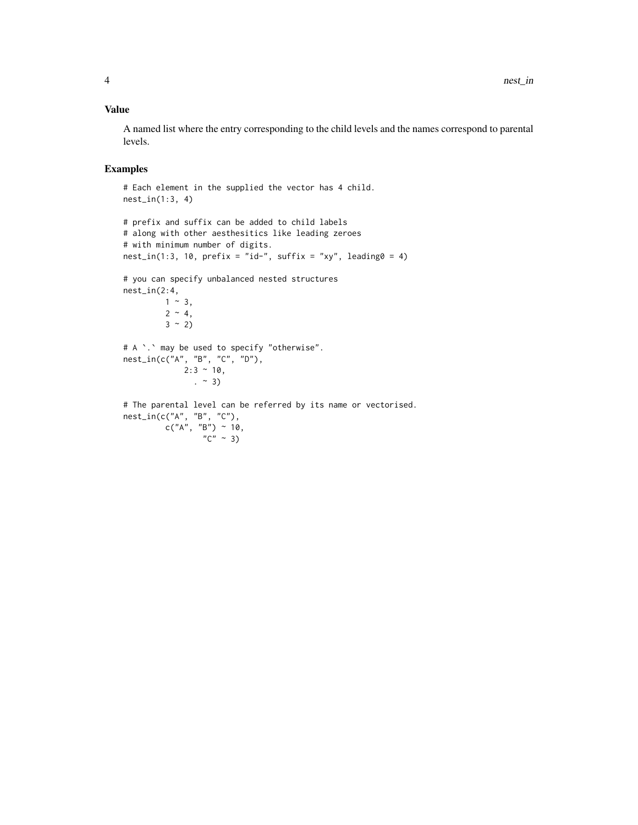#### Value

A named list where the entry corresponding to the child levels and the names correspond to parental levels.

#### Examples

```
# Each element in the supplied the vector has 4 child.
nest_in(1:3, 4)
# prefix and suffix can be added to child labels
```

```
# along with other aesthesitics like leading zeroes
# with minimum number of digits.
nest_in(1:3, 10, prefix = "id-", suffix = "xy", leading0 = 4)# you can specify unbalanced nested structures
nest_in(2:4,
        1 \sim 3,
         2 \sim 4,
         3 \sim 2# A `.` may be used to specify "otherwise".
nest_in(c("A", "B", "C", "D"),
             2:3 ~ 10,
              . ~ 3)
# The parental level can be referred by its name or vectorised.
nest_in(c("A", "B", "C"),
         c("A", "B") ~ 10,
                  C'' \sim 3)
```